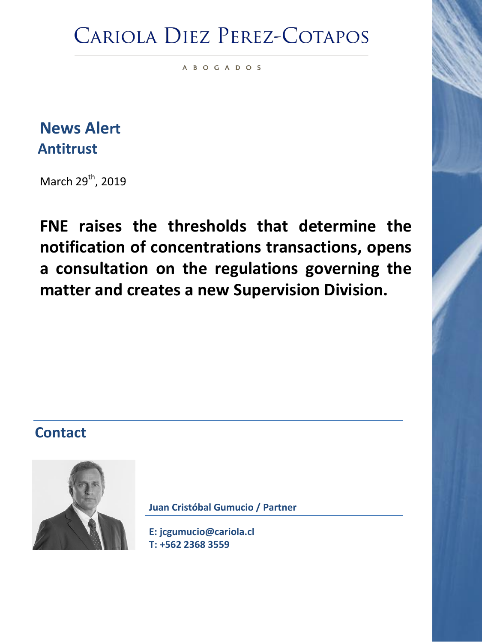## **CARIOLA DIEZ PEREZ-COTAPOS**

A B O G A D O S

**News Alert Antitrust**

March 29<sup>th</sup>, 2019

**FNE raises the thresholds that determine the notification of concentrations transactions, opens a consultation on the regulations governing the matter and creates a new Supervision Division.**

### **Contact**



**Juan Cristóbal Gumucio / Partner**

**[E: jcgumucio@cariola.cl](mailto:jcgumucio@cariola.cl) T: +562 2368 3559**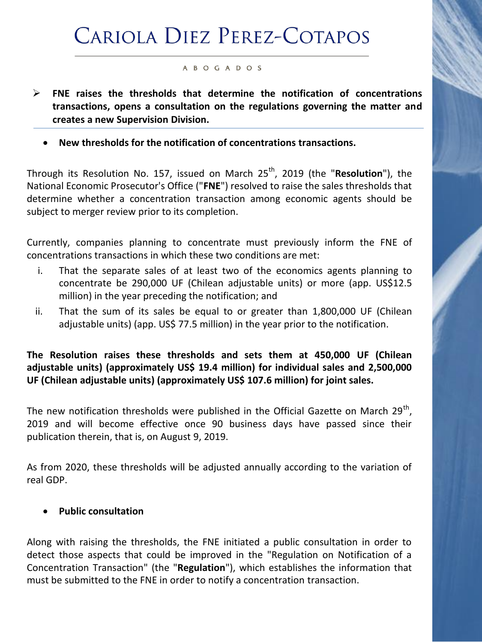# **CARIOLA DIEZ PEREZ-COTAPOS**

#### A B O G A D O S

- **FNE raises the thresholds that determine the notification of concentrations transactions, opens a consultation on the regulations governing the matter and creates a new Supervision Division.**
	- **New thresholds for the notification of concentrations transactions.**

Through its Resolution No. 157, issued on March 25<sup>th</sup>, 2019 (the "**Resolution**"), the National Economic Prosecutor's Office ("**FNE**") resolved to raise the sales thresholds that determine whether a concentration transaction among economic agents should be subject to merger review prior to its completion.

Currently, companies planning to concentrate must previously inform the FNE of concentrations transactions in which these two conditions are met:

- i. That the separate sales of at least two of the economics agents planning to concentrate be 290,000 UF (Chilean adjustable units) or more (app. US\$12.5 million) in the year preceding the notification; and
- ii. That the sum of its sales be equal to or greater than 1,800,000 UF (Chilean adjustable units) (app. US\$ 77.5 million) in the year prior to the notification.

### **The Resolution raises these thresholds and sets them at 450,000 UF (Chilean adjustable units) (approximately US\$ 19.4 million) for individual sales and 2,500,000 UF (Chilean adjustable units) (approximately US\$ 107.6 million) for joint sales.**

The new notification thresholds were published in the Official Gazette on March 29<sup>th</sup>, 2019 and will become effective once 90 business days have passed since their publication therein, that is, on August 9, 2019.

As from 2020, these thresholds will be adjusted annually according to the variation of real GDP.

#### **Public consultation**

Along with raising the thresholds, the FNE initiated a public consultation in order to detect those aspects that could be improved in the "Regulation on Notification of a Concentration Transaction" (the "**Regulation**"), which establishes the information that must be submitted to the FNE in order to notify a concentration transaction.